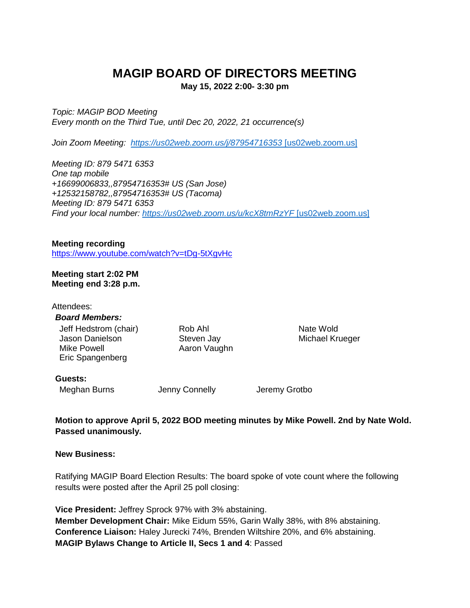# **MAGIP BOARD OF DIRECTORS MEETING**

**May 15, 2022 2:00- 3:30 pm**

*Topic: MAGIP BOD Meeting Every month on the Third Tue, until Dec 20, 2022, 21 occurrence(s)*

*Join Zoom Meeting: [https://us02web.zoom.us/j/87954716353](https://urldefense.com/v3/__https:/us02web.zoom.us/j/87954716353__;!!GaaboA!-ZorRnAwQpRCyzSjWWQGAVuNUqCYuOYv1IysjayHa0myV1qZ0IC28bPaztldfZCu$)* [us02web.zoom.us]

*Meeting ID: 879 5471 6353 One tap mobile +16699006833,,87954716353# US (San Jose) +12532158782,,87954716353# US (Tacoma) Meeting ID: 879 5471 6353 Find your local number: [https://us02web.zoom.us/u/kcX8tmRzYF](https://urldefense.com/v3/__https:/us02web.zoom.us/u/kcX8tmRzYF__;!!GaaboA!-ZorRnAwQpRCyzSjWWQGAVuNUqCYuOYv1IysjayHa0myV1qZ0IC28bPazsO6suQO$)* [us02web.zoom.us]

**Meeting recording** <https://www.youtube.com/watch?v=tDg-5tXgvHc>

**Meeting start 2:02 PM Meeting end 3:28 p.m.**

| Attendees:<br><b>Board Members:</b>                                                |                                       |                              |
|------------------------------------------------------------------------------------|---------------------------------------|------------------------------|
| Jeff Hedstrom (chair)<br><b>Jason Danielson</b><br>Mike Powell<br>Eric Spangenberg | Rob Ahl<br>Steven Jay<br>Aaron Vaughn | Nate Wold<br>Michael Krueger |
| <b>Guests:</b>                                                                     |                                       |                              |

Meghan Burns Jenny Connelly Jeremy Grotbo

**Motion to approve April 5, 2022 BOD meeting minutes by Mike Powell. 2nd by Nate Wold. Passed unanimously.**

**New Business:**

Ratifying MAGIP Board Election Results: The board spoke of vote count where the following results were posted after the April 25 poll closing:

**Vice President:** Jeffrey Sprock 97% with 3% abstaining. **Member Development Chair:** Mike Eidum 55%, Garin Wally 38%, with 8% abstaining. **Conference Liaison:** Haley Jurecki 74%, Brenden Wiltshire 20%, and 6% abstaining. **MAGIP Bylaws Change to Article II, Secs 1 and 4**: Passed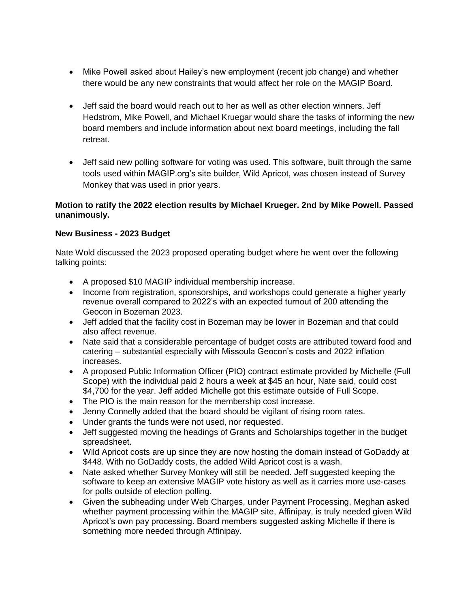- Mike Powell asked about Hailey's new employment (recent job change) and whether there would be any new constraints that would affect her role on the MAGIP Board.
- Jeff said the board would reach out to her as well as other election winners. Jeff Hedstrom, Mike Powell, and Michael Kruegar would share the tasks of informing the new board members and include information about next board meetings, including the fall retreat.
- Jeff said new polling software for voting was used. This software, built through the same tools used within MAGIP.org's site builder, Wild Apricot, was chosen instead of Survey Monkey that was used in prior years.

## **Motion to ratify the 2022 election results by Michael Krueger. 2nd by Mike Powell. Passed unanimously.**

## **New Business - 2023 Budget**

Nate Wold discussed the 2023 proposed operating budget where he went over the following talking points:

- A proposed \$10 MAGIP individual membership increase.
- Income from registration, sponsorships, and workshops could generate a higher yearly revenue overall compared to 2022's with an expected turnout of 200 attending the Geocon in Bozeman 2023.
- Jeff added that the facility cost in Bozeman may be lower in Bozeman and that could also affect revenue.
- Nate said that a considerable percentage of budget costs are attributed toward food and catering – substantial especially with Missoula Geocon's costs and 2022 inflation increases.
- A proposed Public Information Officer (PIO) contract estimate provided by Michelle (Full Scope) with the individual paid 2 hours a week at \$45 an hour, Nate said, could cost \$4,700 for the year. Jeff added Michelle got this estimate outside of Full Scope.
- The PIO is the main reason for the membership cost increase.
- Jenny Connelly added that the board should be vigilant of rising room rates.
- Under grants the funds were not used, nor requested.
- Jeff suggested moving the headings of Grants and Scholarships together in the budget spreadsheet.
- Wild Apricot costs are up since they are now hosting the domain instead of GoDaddy at \$448. With no GoDaddy costs, the added Wild Apricot cost is a wash.
- Nate asked whether Survey Monkey will still be needed. Jeff suggested keeping the software to keep an extensive MAGIP vote history as well as it carries more use-cases for polls outside of election polling.
- Given the subheading under Web Charges, under Payment Processing, Meghan asked whether payment processing within the MAGIP site, Affinipay, is truly needed given Wild Apricot's own pay processing. Board members suggested asking Michelle if there is something more needed through Affinipay.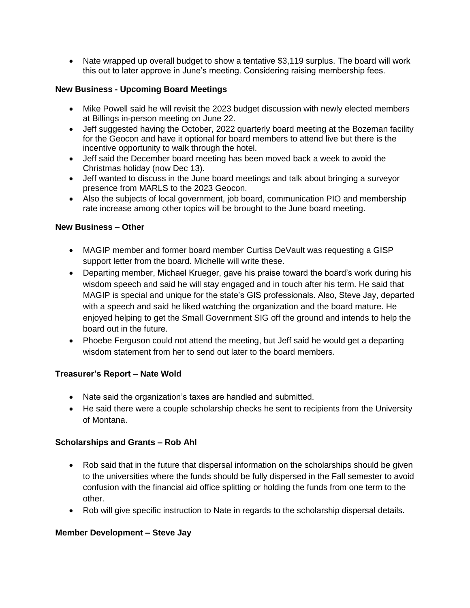• Nate wrapped up overall budget to show a tentative \$3,119 surplus. The board will work this out to later approve in June's meeting. Considering raising membership fees.

## **New Business - Upcoming Board Meetings**

- Mike Powell said he will revisit the 2023 budget discussion with newly elected members at Billings in-person meeting on June 22.
- Jeff suggested having the October, 2022 quarterly board meeting at the Bozeman facility for the Geocon and have it optional for board members to attend live but there is the incentive opportunity to walk through the hotel.
- Jeff said the December board meeting has been moved back a week to avoid the Christmas holiday (now Dec 13).
- Jeff wanted to discuss in the June board meetings and talk about bringing a surveyor presence from MARLS to the 2023 Geocon.
- Also the subjects of local government, job board, communication PIO and membership rate increase among other topics will be brought to the June board meeting.

#### **New Business – Other**

- MAGIP member and former board member Curtiss DeVault was requesting a GISP support letter from the board. Michelle will write these.
- Departing member, Michael Krueger, gave his praise toward the board's work during his wisdom speech and said he will stay engaged and in touch after his term. He said that MAGIP is special and unique for the state's GIS professionals. Also, Steve Jay, departed with a speech and said he liked watching the organization and the board mature. He enjoyed helping to get the Small Government SIG off the ground and intends to help the board out in the future.
- Phoebe Ferguson could not attend the meeting, but Jeff said he would get a departing wisdom statement from her to send out later to the board members.

## **Treasurer's Report – Nate Wold**

- Nate said the organization's taxes are handled and submitted.
- He said there were a couple scholarship checks he sent to recipients from the University of Montana.

#### **Scholarships and Grants – Rob Ahl**

- Rob said that in the future that dispersal information on the scholarships should be given to the universities where the funds should be fully dispersed in the Fall semester to avoid confusion with the financial aid office splitting or holding the funds from one term to the other.
- Rob will give specific instruction to Nate in regards to the scholarship dispersal details.

#### **Member Development – Steve Jay**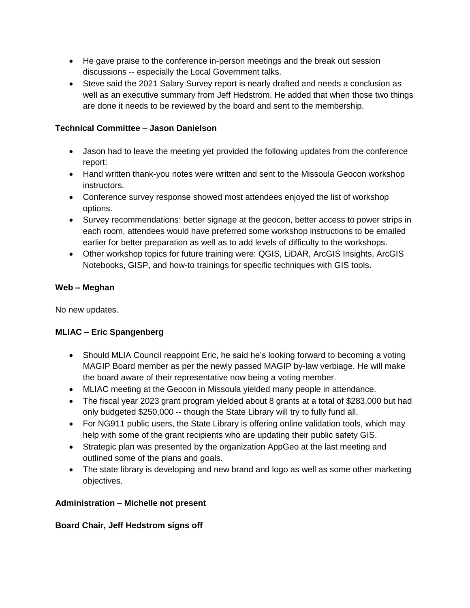- He gave praise to the conference in-person meetings and the break out session discussions -- especially the Local Government talks.
- Steve said the 2021 Salary Survey report is nearly drafted and needs a conclusion as well as an executive summary from Jeff Hedstrom. He added that when those two things are done it needs to be reviewed by the board and sent to the membership.

# **Technical Committee – Jason Danielson**

- Jason had to leave the meeting yet provided the following updates from the conference report:
- Hand written thank-you notes were written and sent to the Missoula Geocon workshop instructors.
- Conference survey response showed most attendees enjoyed the list of workshop options.
- Survey recommendations: better signage at the geocon, better access to power strips in each room, attendees would have preferred some workshop instructions to be emailed earlier for better preparation as well as to add levels of difficulty to the workshops.
- Other workshop topics for future training were: QGIS, LiDAR, ArcGIS Insights, ArcGIS Notebooks, GISP, and how-to trainings for specific techniques with GIS tools.

# **Web – Meghan**

No new updates.

# **MLIAC – Eric Spangenberg**

- Should MLIA Council reappoint Eric, he said he's looking forward to becoming a voting MAGIP Board member as per the newly passed MAGIP by-law verbiage. He will make the board aware of their representative now being a voting member.
- MLIAC meeting at the Geocon in Missoula yielded many people in attendance.
- The fiscal year 2023 grant program yielded about 8 grants at a total of \$283,000 but had only budgeted \$250,000 -- though the State Library will try to fully fund all.
- For NG911 public users, the State Library is offering online validation tools, which may help with some of the grant recipients who are updating their public safety GIS.
- Strategic plan was presented by the organization AppGeo at the last meeting and outlined some of the plans and goals.
- The state library is developing and new brand and logo as well as some other marketing objectives.

# **Administration – Michelle not present**

**Board Chair, Jeff Hedstrom signs off**